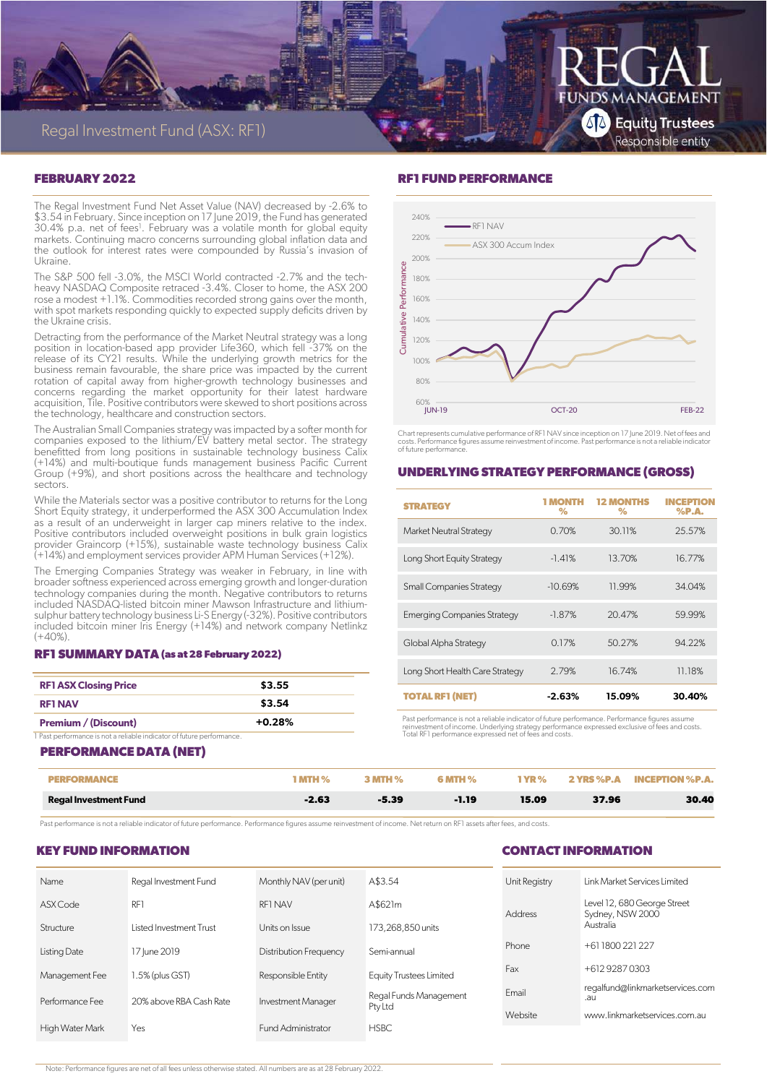

#### **FEBRUARY 2022**

The Regal Investment Fund Net Asset Value (NAV) decreased by -2.6% to \$3.54 in February. Since inception on 17 June 2019, the Fund has generated 30.4% p.a. net of fees<sup>1</sup>. February was a volatile month for global equity markets. Continuing macro concerns surrounding global inflation data and the outlook for interest rates were compounded by Russia's invasion of Ukraine.

The S&P 500 fell -3.0%, the MSCI World contracted -2.7% and the techheavy NASDAQ Composite retraced -3.4%. Closer to home, the ASX 200 rose a modest +1.1%. Commodities recorded strong gains over the month, with spot markets responding quickly to expected supply deficits driven by the Ukraine crisis.

Detracting from the performance of the Market Neutral strategy was a long position in location-based app provider Life360, which fell -37% on the release of its CY21 results. While the underlying growth metrics for the business remain favourable, the share price was impacted by the current rotation of capital away from higher-growth technology businesses and concerns regarding the market opportunity for their latest hardware acquisition, Tile. Positive contributors were skewed to short positions across the technology, healthcare and construction sectors.

The Australian Small Companies strategy was impacted by a softer month for companies exposed to the lithium/EV battery metal sector. The strategy benefitted from long positions in sustainable technology business Calix (+14%) and multi-boutique funds management business Pacific Current Group (+9%), and short positions across the healthcare and technology sectors.

While the Materials sector was a positive contributor to returns for the Long Short Equity strategy, it underperformed the ASX 300 Accumulation Index as a result of an underweight in larger cap miners relative to the index. Positive contributors included overweight positions in bulk grain logistics provider Graincorp (+15%), sustainable waste technology business Calix (+14%) and employment services provider APM Human Services (+12%).

The Emerging Companies Strategy was weaker in February, in line with broader softness experienced across emerging growth and longer-duration technology companies during the month. Negative contributors to returns included NASDAQ-listed bitcoin miner Mawson Infrastructure and lithiumsulphur battery technology business Li-S Energy (-32%). Positive contributors included bitcoin miner Iris Energy (+14%) and network company Netlinkz  $(+40%)$ 

#### **RF1 SUMMARY DATA (as at 28 February 2022)**

| <b>RF1 ASX Closing Price</b>                                         | \$3.55   |
|----------------------------------------------------------------------|----------|
| <b>RF1 NAV</b>                                                       | \$3.54   |
| <b>Premium / (Discount)</b>                                          | $+0.28%$ |
| I Past performance is not a reliable indicator of future performance |          |

## **PERFORMANCE DATA (NET)**

# **RF1 FUND PERFORMANCE**



Chart represents cumulative performance of RF1 NAV since inception on 17 June 2019. Net of fees and costs. Performance figures assume reinvestment of income. Past performance is not a reliable indicator of future performance.

#### **UNDERLYING STRATEGY PERFORMANCE (GROSS)**

| <b>STRATEGY</b>                    | <b>MONTH</b><br>% | <b>12 MONTHS</b><br>$\%$ | <b>INCEPTION</b><br>$%$ P.A. |
|------------------------------------|-------------------|--------------------------|------------------------------|
| <b>Market Neutral Strategy</b>     | 0.70%             | 30.11%                   | 25.57%                       |
| Long Short Equity Strategy         | $-1.41%$          | 13.70%                   | 16.77%                       |
| <b>Small Companies Strategy</b>    | $-10.69%$         | 11.99%                   | 34.04%                       |
| <b>Emerging Companies Strategy</b> | $-1.87%$          | 20.47%                   | 59.99%                       |
| Global Alpha Strategy              | 0.17%             | 50.27%                   | 94.22%                       |
| Long Short Health Care Strategy    | 2.79%             | 16.74%                   | 11.18%                       |
| <b>TOTAL RF1 (NET)</b>             | $-2.63%$          | 15.09%                   | 30.40%                       |

Past performance is not a reliable indicator of future performance. Performance figures assume<br>reinvestment of income. Underlying strategy performance expressed exclusive of fees and costs.<br>Total RF1 performance expressed

# **PERFORMANCE 1 MTH % 3 MTH % 6 MTH % 1 YR % 2 YRS %P.A INCEPTION %P.A. Regal Investment Fund -2.63 -5.39 -1.19 15.09 37.96 30.40**

Past performance is not a reliable indicator of future performance. Performance figures assume reinvestment of income. Net return on RF1 assets after fees, and costs.

#### **KEY FUND INFORMATION**

#### **CONTACT INFORMATION**

| <b>Name</b>     | Regal Investment Fund   | Monthly NAV (per unit)        | A\$3.54                 | Unit Registry                 | Link Market Services Limited                    |
|-----------------|-------------------------|-------------------------------|-------------------------|-------------------------------|-------------------------------------------------|
| ASX Code        | RF <sub>1</sub>         | <b>RF1 NAV</b>                | A\$621m                 | Address                       | Level 12, 680 George Street<br>Sydney, NSW 2000 |
| Structure       | Listed Investment Trust | Units on Issue                | 173,268,850 units       |                               | Australia                                       |
| Listing Date    | 17 June 2019            | <b>Distribution Frequency</b> | Semi-annual             | Phone                         | +611800221227                                   |
| Management Fee  | 1.5% (plus GST)         | Responsible Entity            | Equity Trustees Limited | Fax                           | +61292870303                                    |
| Performance Fee | 20% above RBA Cash Rate | Investment Manager            | Regal Funds Management  | Email                         | regalfund@linkmarketservices.com<br>.au         |
|                 |                         | Pty Ltd                       | Website                 | www.linkmarketservices.com.au |                                                 |
| High Water Mark | Yes                     | Fund Administrator            | <b>HSBC</b>             |                               |                                                 |

Note: Performance figures are net of all fees unless otherwise stated. All numbers are as at 28 February 2022.